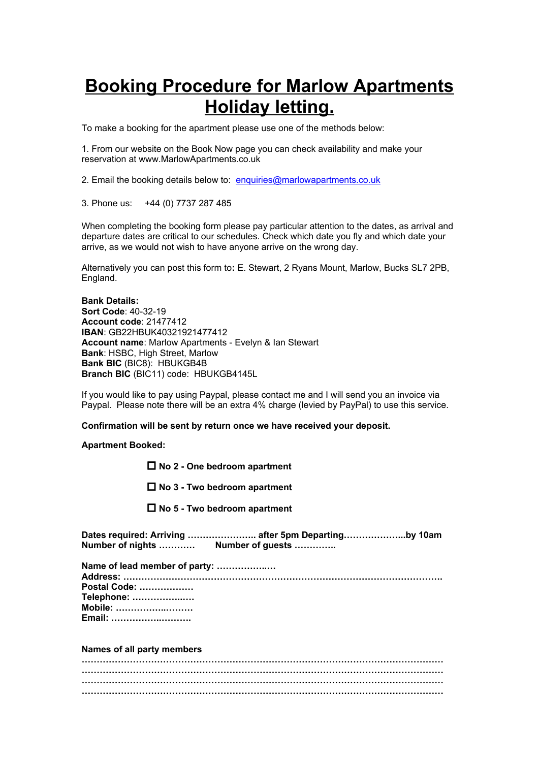# **Booking Procedure for Marlow Apartments Holiday letting.**

To make a booking for the apartment please use one of the methods below:

1. From our website on the Book Now page you can check availability and make your reservation at www.MarlowApartments.co.uk

2. Email the booking details below to: [enquiries@marlowapartments.co.uk](mailto:enquiries@marlowapartments.co.uk)

3. Phone us: +44 (0) 7737 287 485

When completing the booking form please pay particular attention to the dates, as arrival and departure dates are critical to our schedules. Check which date you fly and which date your arrive, as we would not wish to have anyone arrive on the wrong day.

Alternatively you can post this form to**:** E. Stewart, 2 Ryans Mount, Marlow, Bucks SL7 2PB, England.

**Bank Details: Sort Code**: 40-32-19 **Account code**: 21477412 **IBAN**: GB22HBUK40321921477412 **Account name**: Marlow Apartments - Evelyn & Ian Stewart **Bank: HSBC, High Street, Marlow Bank BIC** (BIC8): HBUKGB4B **Branch BIC** (BIC11) code: HBUKGB4145L

If you would like to pay using Paypal, please contact me and I will send you an invoice via Paypal. Please note there will be an extra 4% charge (levied by PayPal) to use this service.

#### **Confirmation will be sent by return once we have received your deposit.**

#### **Apartment Booked:**

 **No 2 - One bedroom apartment**

 **No 3 - Two bedroom apartment**

 **No 5 - Two bedroom apartment**

|                  | Dates required: Arriving  after 5pm Departingby 10am |  |
|------------------|------------------------------------------------------|--|
| Number of nights | Number of guests                                     |  |

| Name of lead member of party: |  |
|-------------------------------|--|
|                               |  |
| Postal Code:                  |  |
| Telephone:                    |  |
| Mobile:                       |  |
| Email:                        |  |

#### **Names of all party members**